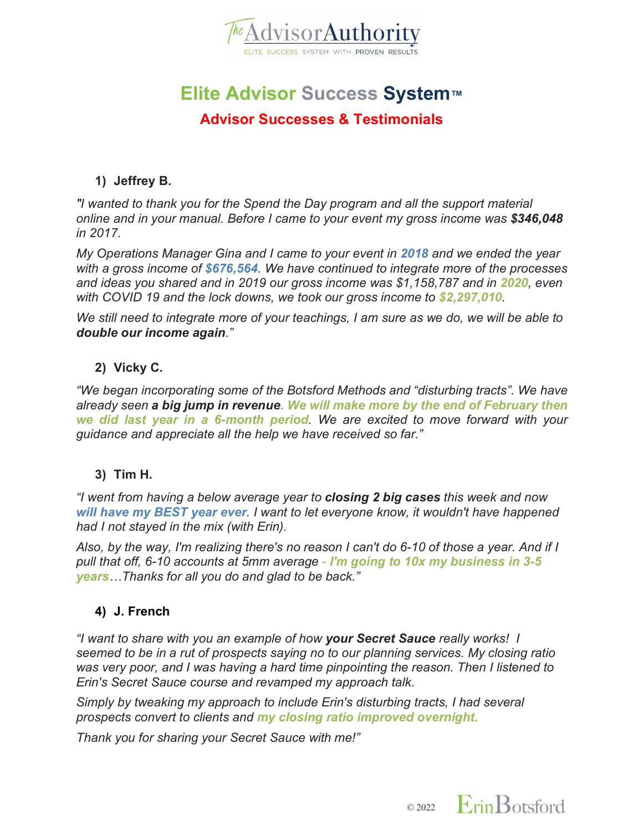

# **Elite Advisor Success System™**

# **Advisor Successes & Testimonials**

# **1) Jeffrey B.**

*"I wanted to thank you for the Spend the Day program and all the support material online and in your manual. Before I came to your event my gross income was \$346,048 in 2017.*

*My Operations Manager Gina and I came to your event in 2018 and we ended the year with a gross income of \$676,564. We have continued to integrate more of the processes*  and ideas you shared and in 2019 our gross income was \$1,158,787 and in 2020, even *with COVID 19 and the lock downs, we took our gross income to \$2,297,010.*

*We still need to integrate more of your teachings, I am sure as we do, we will be able to double our income again."*

# **2) Vicky C.**

*"We began incorporating some of the Botsford Methods and "disturbing tracts". We have already seen a big jump in revenue. We will make more by the end of February then we did last year in a 6-month period. We are excited to move forward with your guidance and appreciate all the help we have received so far."*

# **3) Tim H.**

*"I went from having a below average year to closing 2 big cases this week and now will have my BEST year ever. I want to let everyone know, it wouldn't have happened had I not stayed in the mix (with Erin).*

*Also, by the way, I'm realizing there's no reason I can't do 6-10 of those a year. And if I pull that off, 6-10 accounts at 5mm average - I'm going to 10x my business in 3-5 years…Thanks for all you do and glad to be back."*

# **4) J. French**

*"I want to share with you an example of how your Secret Sauce really works! I seemed to be in a rut of prospects saying no to our planning services. My closing ratio was very poor, and I was having a hard time pinpointing the reason. Then I listened to Erin's Secret Sauce course and revamped my approach talk.* 

*Simply by tweaking my approach to include Erin's disturbing tracts, I had several prospects convert to clients and my closing ratio improved overnight.*

*Thank you for sharing your Secret Sauce with me!"*

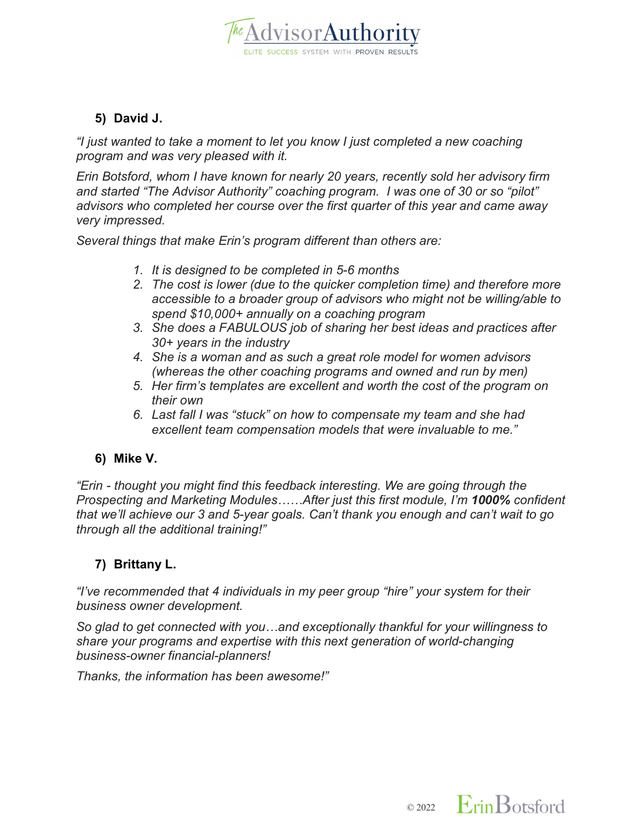

# **5) David J.**

*"I just wanted to take a moment to let you know I just completed a new coaching program and was very pleased with it.*

*Erin Botsford, whom I have known for nearly 20 years, recently sold her advisory firm and started "The Advisor Authority" coaching program. I was one of 30 or so "pilot" advisors who completed her course over the first quarter of this year and came away very impressed.*

*Several things that make Erin's program different than others are:*

- *1. It is designed to be completed in 5-6 months*
- *2. The cost is lower (due to the quicker completion time) and therefore more accessible to a broader group of advisors who might not be willing/able to spend \$10,000+ annually on a coaching program*
- *3. She does a FABULOUS job of sharing her best ideas and practices after 30+ years in the industry*
- *4. She is a woman and as such a great role model for women advisors (whereas the other coaching programs and owned and run by men)*
- *5. Her firm's templates are excellent and worth the cost of the program on their own*
- *6. Last fall I was "stuck" on how to compensate my team and she had excellent team compensation models that were invaluable to me."*

# **6) Mike V.**

*"Erin - thought you might find this feedback interesting. We are going through the Prospecting and Marketing Modules……After just this first module, I'm 1000% confident that we'll achieve our 3 and 5-year goals. Can't thank you enough and can't wait to go through all the additional training!"*

# **7) Brittany L.**

*"I've recommended that 4 individuals in my peer group "hire" your system for their business owner development.*

*So glad to get connected with you…and exceptionally thankful for your willingness to share your programs and expertise with this next generation of world-changing business-owner financial-planners!*

*Thanks, the information has been awesome!"*

 $\circ$  2022 Erin Botsford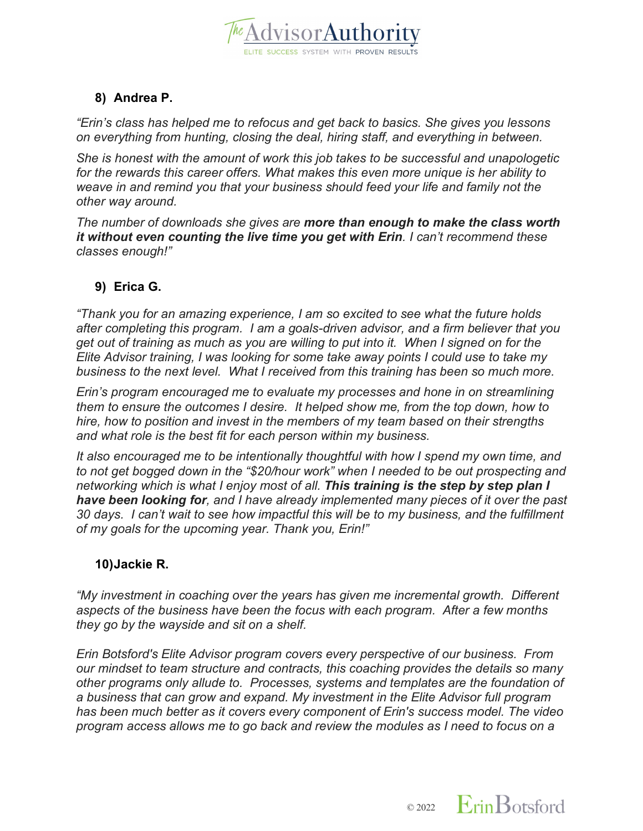

# **8) Andrea P.**

*"Erin's class has helped me to refocus and get back to basics. She gives you lessons on everything from hunting, closing the deal, hiring staff, and everything in between.* 

*She is honest with the amount of work this job takes to be successful and unapologetic for the rewards this career offers. What makes this even more unique is her ability to weave in and remind you that your business should feed your life and family not the other way around.*

*The number of downloads she gives are more than enough to make the class worth it without even counting the live time you get with Erin. I can't recommend these classes enough!"*

# **9) Erica G.**

*"Thank you for an amazing experience, I am so excited to see what the future holds after completing this program. I am a goals-driven advisor, and a firm believer that you get out of training as much as you are willing to put into it. When I signed on for the Elite Advisor training, I was looking for some take away points I could use to take my business to the next level. What I received from this training has been so much more.*

*Erin's program encouraged me to evaluate my processes and hone in on streamlining them to ensure the outcomes I desire. It helped show me, from the top down, how to hire, how to position and invest in the members of my team based on their strengths and what role is the best fit for each person within my business.*

*It also encouraged me to be intentionally thoughtful with how I spend my own time, and to not get bogged down in the "\$20/hour work" when I needed to be out prospecting and networking which is what I enjoy most of all. This training is the step by step plan I have been looking for, and I have already implemented many pieces of it over the past 30 days. I can't wait to see how impactful this will be to my business, and the fulfillment of my goals for the upcoming year. Thank you, Erin!"*

## **10)Jackie R.**

*"My investment in coaching over the years has given me incremental growth. Different aspects of the business have been the focus with each program. After a few months they go by the wayside and sit on a shelf.*

*Erin Botsford's Elite Advisor program covers every perspective of our business. From our mindset to team structure and contracts, this coaching provides the details so many other programs only allude to. Processes, systems and templates are the foundation of a business that can grow and expand. My investment in the Elite Advisor full program has been much better as it covers every component of Erin's success model. The video program access allows me to go back and review the modules as I need to focus on a* 

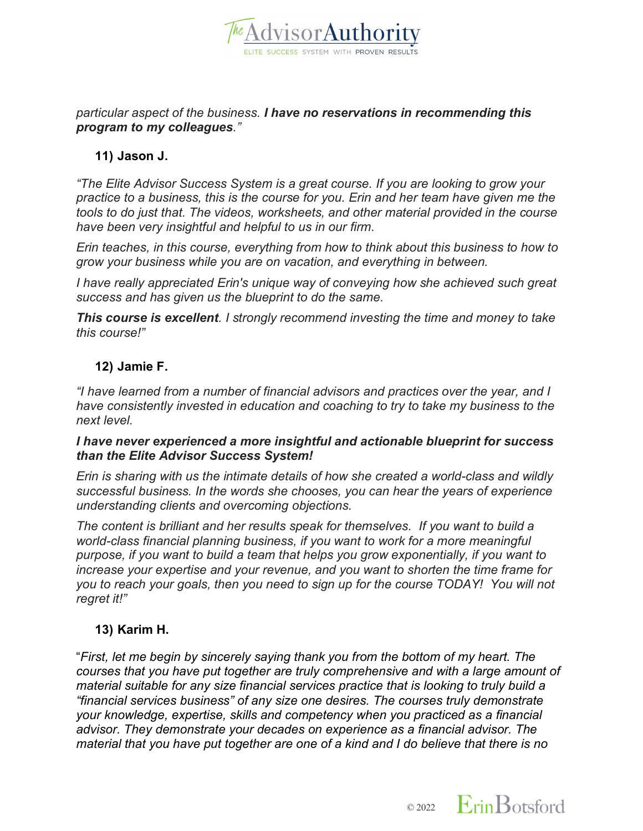

#### *particular aspect of the business. I have no reservations in recommending this program to my colleagues."*

## **11) Jason J.**

*"The Elite Advisor Success System is a great course. If you are looking to grow your practice to a business, this is the course for you. Erin and her team have given me the tools to do just that. The videos, worksheets, and other material provided in the course have been very insightful and helpful to us in our firm.*

*Erin teaches, in this course, everything from how to think about this business to how to grow your business while you are on vacation, and everything in between.*

*I have really appreciated Erin's unique way of conveying how she achieved such great success and has given us the blueprint to do the same.*

*This course is excellent. I strongly recommend investing the time and money to take this course!"*

## **12) Jamie F.**

*"I have learned from a number of financial advisors and practices over the year, and I have consistently invested in education and coaching to try to take my business to the next level.*

#### *I have never experienced a more insightful and actionable blueprint for success than the Elite Advisor Success System!*

*Erin is sharing with us the intimate details of how she created a world-class and wildly successful business. In the words she chooses, you can hear the years of experience understanding clients and overcoming objections.*

*The content is brilliant and her results speak for themselves. If you want to build a world-class financial planning business, if you want to work for a more meaningful purpose, if you want to build a team that helps you grow exponentially, if you want to increase your expertise and your revenue, and you want to shorten the time frame for you to reach your goals, then you need to sign up for the course TODAY! You will not regret it!"*

## **13) Karim H.**

"*First, let me begin by sincerely saying thank you from the bottom of my heart. The courses that you have put together are truly comprehensive and with a large amount of material suitable for any size financial services practice that is looking to truly build a "financial services business" of any size one desires. The courses truly demonstrate your knowledge, expertise, skills and competency when you practiced as a financial advisor. They demonstrate your decades on experience as a financial advisor. The material that you have put together are one of a kind and I do believe that there is no* 

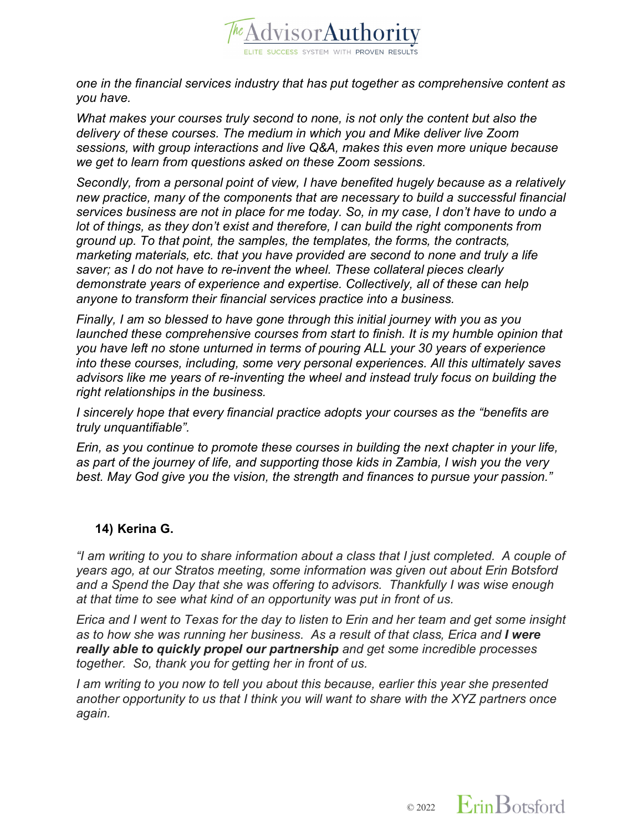

*one in the financial services industry that has put together as comprehensive content as you have.* 

*What makes your courses truly second to none, is not only the content but also the delivery of these courses. The medium in which you and Mike deliver live Zoom sessions, with group interactions and live Q&A, makes this even more unique because we get to learn from questions asked on these Zoom sessions.*

*Secondly, from a personal point of view, I have benefited hugely because as a relatively new practice, many of the components that are necessary to build a successful financial services business are not in place for me today. So, in my case, I don't have to undo a lot of things, as they don't exist and therefore, I can build the right components from ground up. To that point, the samples, the templates, the forms, the contracts, marketing materials, etc. that you have provided are second to none and truly a life saver; as I do not have to re-invent the wheel. These collateral pieces clearly demonstrate years of experience and expertise. Collectively, all of these can help anyone to transform their financial services practice into a business.*

*Finally, I am so blessed to have gone through this initial journey with you as you launched these comprehensive courses from start to finish. It is my humble opinion that you have left no stone unturned in terms of pouring ALL your 30 years of experience into these courses, including, some very personal experiences. All this ultimately saves advisors like me years of re-inventing the wheel and instead truly focus on building the right relationships in the business.*

*I sincerely hope that every financial practice adopts your courses as the "benefits are truly unquantifiable".*

*Erin, as you continue to promote these courses in building the next chapter in your life, as part of the journey of life, and supporting those kids in Zambia, I wish you the very best. May God give you the vision, the strength and finances to pursue your passion."*

## **14) Kerina G.**

*"I am writing to you to share information about a class that I just completed. A couple of years ago, at our Stratos meeting, some information was given out about Erin Botsford and a Spend the Day that she was offering to advisors. Thankfully I was wise enough at that time to see what kind of an opportunity was put in front of us.*

*Erica and I went to Texas for the day to listen to Erin and her team and get some insight as to how she was running her business. As a result of that class, Erica and I were really able to quickly propel our partnership and get some incredible processes together. So, thank you for getting her in front of us.*

*I am writing to you now to tell you about this because, earlier this year she presented another opportunity to us that I think you will want to share with the XYZ partners once again.*

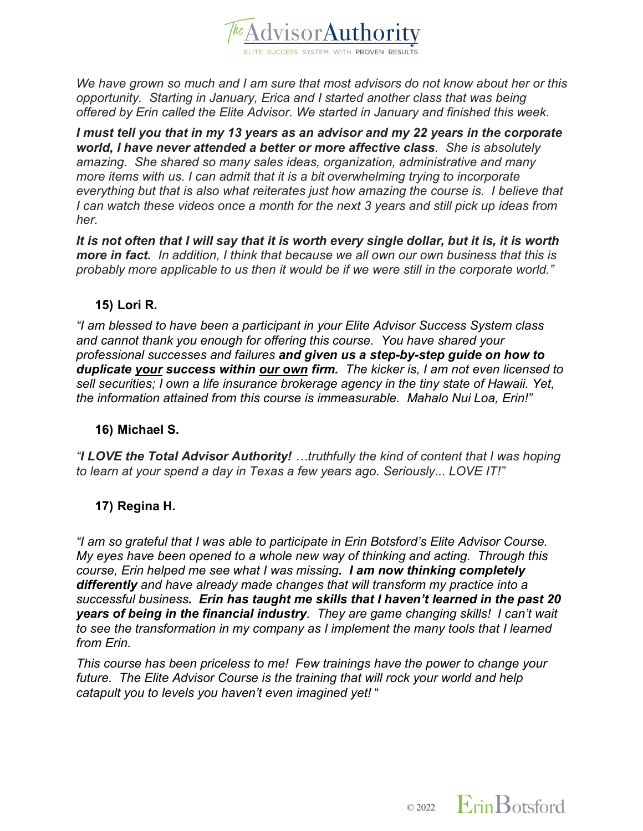

*We have grown so much and I am sure that most advisors do not know about her or this opportunity. Starting in January, Erica and I started another class that was being offered by Erin called the Elite Advisor. We started in January and finished this week.*

*I must tell you that in my 13 years as an advisor and my 22 years in the corporate world, I have never attended a better or more affective class. She is absolutely amazing. She shared so many sales ideas, organization, administrative and many more items with us. I can admit that it is a bit overwhelming trying to incorporate everything but that is also what reiterates just how amazing the course is. I believe that I can watch these videos once a month for the next 3 years and still pick up ideas from her.* 

*It is not often that I will say that it is worth every single dollar, but it is, it is worth more in fact. In addition, I think that because we all own our own business that this is probably more applicable to us then it would be if we were still in the corporate world."*

## **15) Lori R.**

*"I am blessed to have been a participant in your Elite Advisor Success System class and cannot thank you enough for offering this course. You have shared your professional successes and failures and given us a step-by-step guide on how to duplicate your success within our own firm. The kicker is, I am not even licensed to sell securities; I own a life insurance brokerage agency in the tiny state of Hawaii. Yet, the information attained from this course is immeasurable. Mahalo Nui Loa, Erin!"*

#### **16) Michael S.**

*"I LOVE the Total Advisor Authority! …truthfully the kind of content that I was hoping to learn at your spend a day in Texas a few years ago. Seriously... LOVE IT!"*

## **17) Regina H.**

*"I am so grateful that I was able to participate in Erin Botsford's Elite Advisor Course. My eyes have been opened to a whole new way of thinking and acting. Through this course, Erin helped me see what I was missing. I am now thinking completely differently and have already made changes that will transform my practice into a successful business. Erin has taught me skills that I haven't learned in the past 20 years of being in the financial industry. They are game changing skills! I can't wait to see the transformation in my company as I implement the many tools that I learned from Erin.* 

*This course has been priceless to me! Few trainings have the power to change your future. The Elite Advisor Course is the training that will rock your world and help catapult you to levels you haven't even imagined yet!* "

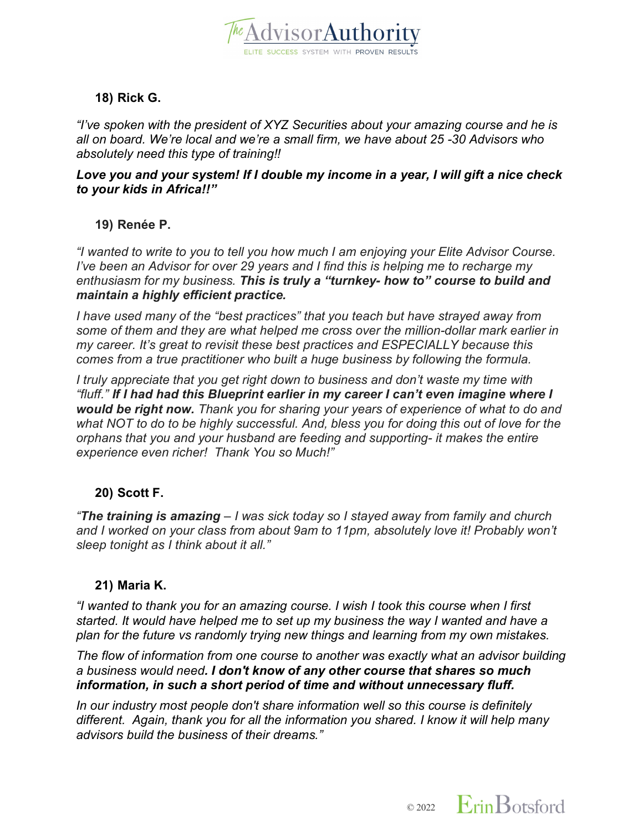

# **18) Rick G.**

*"I've spoken with the president of XYZ Securities about your amazing course and he is all on board. We're local and we're a small firm, we have about 25 -30 Advisors who absolutely need this type of training!!*

#### *Love you and your system! If I double my income in a year, I will gift a nice check to your kids in Africa!!"*

**19) Renée P.**

*"I wanted to write to you to tell you how much I am enjoying your Elite Advisor Course. I've been an Advisor for over 29 years and I find this is helping me to recharge my enthusiasm for my business. This is truly a "turnkey- how to" course to build and maintain a highly efficient practice.*

*I have used many of the "best practices" that you teach but have strayed away from some of them and they are what helped me cross over the million-dollar mark earlier in my career. It's great to revisit these best practices and ESPECIALLY because this comes from a true practitioner who built a huge business by following the formula.* 

*I truly appreciate that you get right down to business and don't waste my time with "fluff." If I had had this Blueprint earlier in my career I can't even imagine where I would be right now. Thank you for sharing your years of experience of what to do and what NOT to do to be highly successful. And, bless you for doing this out of love for the orphans that you and your husband are feeding and supporting- it makes the entire experience even richer! Thank You so Much!"*

## **20) Scott F.**

*"The training is amazing – I was sick today so I stayed away from family and church and I worked on your class from about 9am to 11pm, absolutely love it! Probably won't sleep tonight as I think about it all."*

## **21) Maria K.**

*"I wanted to thank you for an amazing course. I wish I took this course when I first started. It would have helped me to set up my business the way I wanted and have a plan for the future vs randomly trying new things and learning from my own mistakes.* 

*The flow of information from one course to another was exactly what an advisor building a business would need. I don't know of any other course that shares so much information, in such a short period of time and without unnecessary fluff.*

*In our industry most people don't share information well so this course is definitely different. Again, thank you for all the information you shared. I know it will help many advisors build the business of their dreams."*

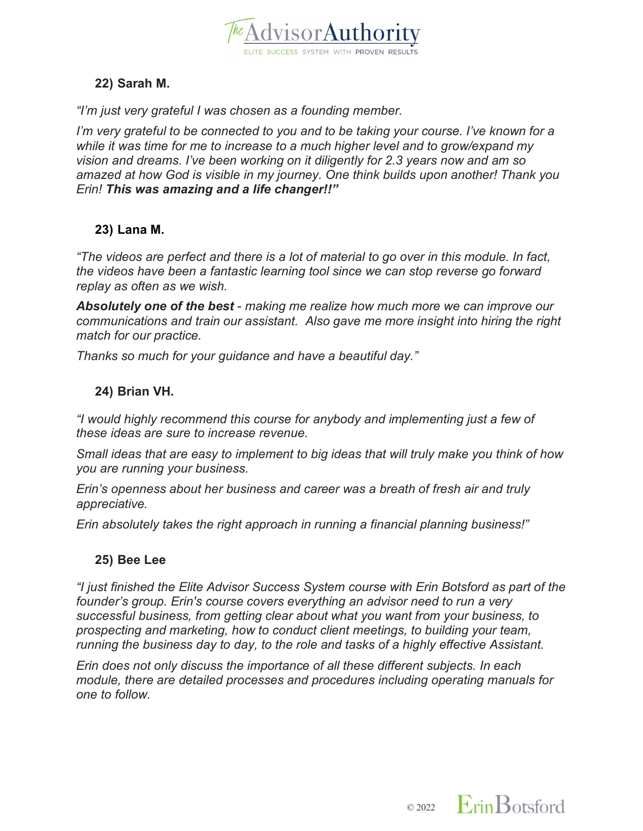

## **22) Sarah M.**

*"I'm just very grateful I was chosen as a founding member.*

*I'm very grateful to be connected to you and to be taking your course. I've known for a while it was time for me to increase to a much higher level and to grow/expand my vision and dreams. I've been working on it diligently for 2.3 years now and am so amazed at how God is visible in my journey. One think builds upon another! Thank you Erin! This was amazing and a life changer!!"*

#### **23) Lana M.**

*"The videos are perfect and there is a lot of material to go over in this module. In fact, the videos have been a fantastic learning tool since we can stop reverse go forward replay as often as we wish.*

*Absolutely one of the best - making me realize how much more we can improve our communications and train our assistant. Also gave me more insight into hiring the right match for our practice.*

*Thanks so much for your guidance and have a beautiful day."*

## **24) Brian VH.**

*"I would highly recommend this course for anybody and implementing just a few of these ideas are sure to increase revenue.*

*Small ideas that are easy to implement to big ideas that will truly make you think of how you are running your business.*

*Erin's openness about her business and career was a breath of fresh air and truly appreciative.*

*Erin absolutely takes the right approach in running a financial planning business!"*

#### **25) Bee Lee**

*"I just finished the Elite Advisor Success System course with Erin Botsford as part of the founder's group. Erin's course covers everything an advisor need to run a very successful business, from getting clear about what you want from your business, to prospecting and marketing, how to conduct client meetings, to building your team, running the business day to day, to the role and tasks of a highly effective Assistant.*

*Erin does not only discuss the importance of all these different subjects. In each module, there are detailed processes and procedures including operating manuals for one to follow.*

 $\circ$  2022 Erin Botsford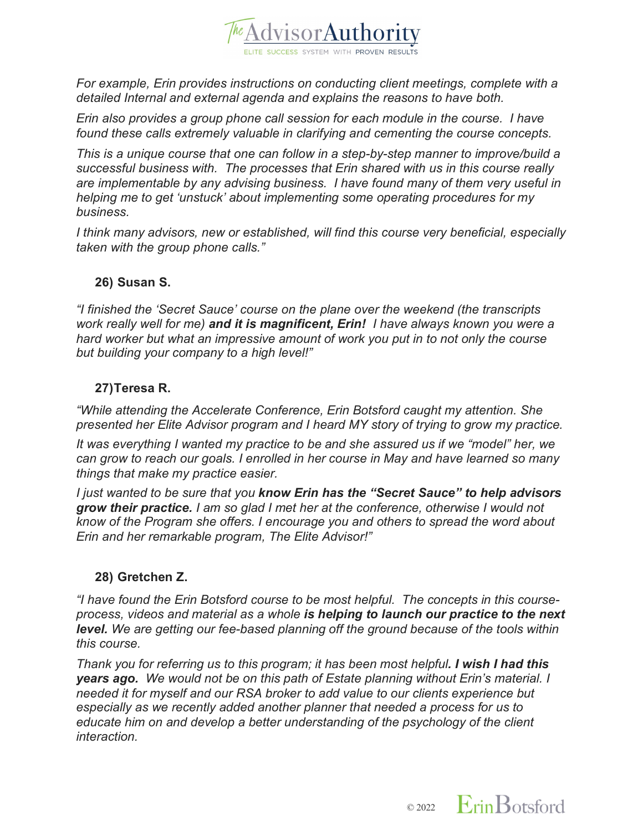

*For example, Erin provides instructions on conducting client meetings, complete with a detailed Internal and external agenda and explains the reasons to have both.*

*Erin also provides a group phone call session for each module in the course. I have found these calls extremely valuable in clarifying and cementing the course concepts.*

*This is a unique course that one can follow in a step-by-step manner to improve/build a successful business with. The processes that Erin shared with us in this course really are implementable by any advising business. I have found many of them very useful in helping me to get 'unstuck' about implementing some operating procedures for my business.*

*I think many advisors, new or established, will find this course very beneficial, especially taken with the group phone calls."*

## **26) Susan S.**

*"I finished the 'Secret Sauce' course on the plane over the weekend (the transcripts work really well for me) and it is magnificent, Erin! I have always known you were a hard worker but what an impressive amount of work you put in to not only the course but building your company to a high level!"*

## **27)Teresa R.**

*"While attending the Accelerate Conference, Erin Botsford caught my attention. She presented her Elite Advisor program and I heard MY story of trying to grow my practice.*

*It was everything I wanted my practice to be and she assured us if we "model" her, we can grow to reach our goals. I enrolled in her course in May and have learned so many things that make my practice easier.*

*I just wanted to be sure that you know Erin has the "Secret Sauce" to help advisors grow their practice. I am so glad I met her at the conference, otherwise I would not know of the Program she offers. I encourage you and others to spread the word about Erin and her remarkable program, The Elite Advisor!"*

## **28) Gretchen Z.**

*"I have found the Erin Botsford course to be most helpful. The concepts in this courseprocess, videos and material as a whole is helping to launch our practice to the next level. We are getting our fee-based planning off the ground because of the tools within this course.* 

*Thank you for referring us to this program; it has been most helpful. I wish I had this years ago. We would not be on this path of Estate planning without Erin's material. I needed it for myself and our RSA broker to add value to our clients experience but especially as we recently added another planner that needed a process for us to educate him on and develop a better understanding of the psychology of the client interaction.* 

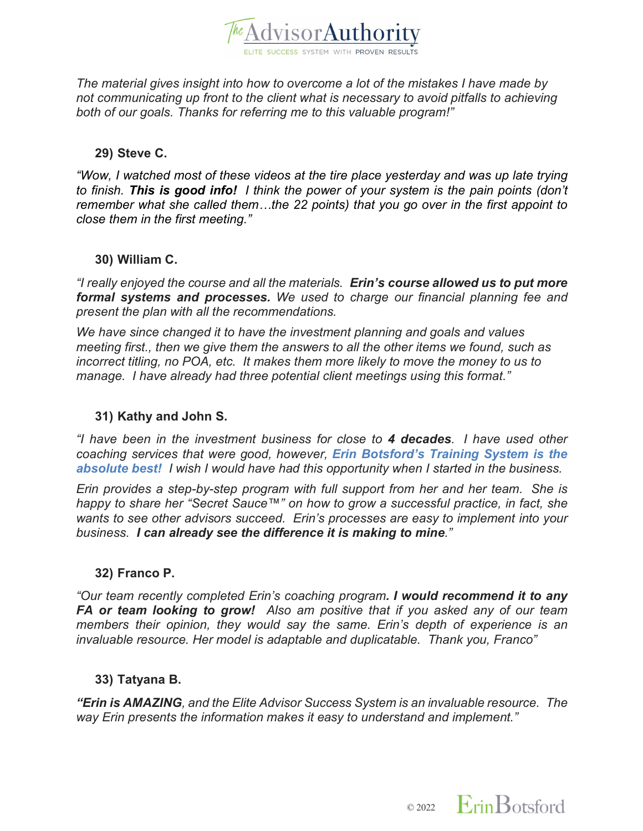

*The material gives insight into how to overcome a lot of the mistakes I have made by not communicating up front to the client what is necessary to avoid pitfalls to achieving both of our goals. Thanks for referring me to this valuable program!"*

#### **29) Steve C.**

*"Wow, I watched most of these videos at the tire place yesterday and was up late trying to finish. This is good info! I think the power of your system is the pain points (don't remember what she called them…the 22 points) that you go over in the first appoint to close them in the first meeting."*

#### **30) William C.**

*"I really enjoyed the course and all the materials. Erin's course allowed us to put more formal systems and processes. We used to charge our financial planning fee and present the plan with all the recommendations.*

*We have since changed it to have the investment planning and goals and values meeting first., then we give them the answers to all the other items we found, such as incorrect titling, no POA, etc. It makes them more likely to move the money to us to manage. I have already had three potential client meetings using this format."*

#### **31) Kathy and John S.**

*"I have been in the investment business for close to 4 decades. I have used other coaching services that were good, however, Erin Botsford's Training System is the absolute best! I wish I would have had this opportunity when I started in the business.*

*Erin provides a step-by-step program with full support from her and her team. She is happy to share her "Secret Sauce™" on how to grow a successful practice, in fact, she wants to see other advisors succeed. Erin's processes are easy to implement into your business. I can already see the difference it is making to mine."*

#### **32) Franco P.**

*"Our team recently completed Erin's coaching program. I would recommend it to any FA or team looking to grow! Also am positive that if you asked any of our team members their opinion, they would say the same. Erin's depth of experience is an invaluable resource. Her model is adaptable and duplicatable. Thank you, Franco"*

#### **33) Tatyana B.**

*"Erin is AMAZING, and the Elite Advisor Success System is an invaluable resource. The way Erin presents the information makes it easy to understand and implement."*

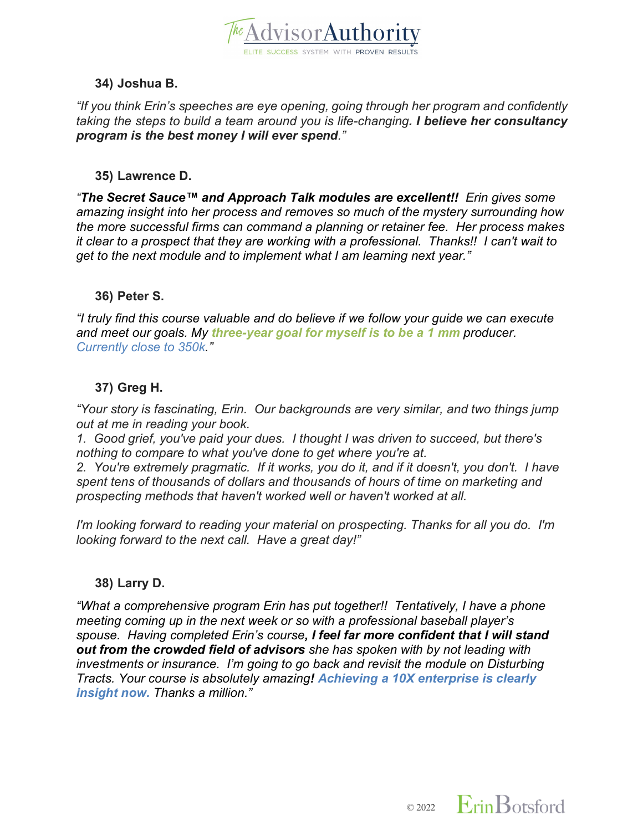

## **34) Joshua B.**

*"If you think Erin's speeches are eye opening, going through her program and confidently taking the steps to build a team around you is life-changing. I believe her consultancy program is the best money I will ever spend."*

#### **35) Lawrence D.**

*"The Secret Sauce™ and Approach Talk modules are excellent!! Erin gives some amazing insight into her process and removes so much of the mystery surrounding how the more successful firms can command a planning or retainer fee. Her process makes it clear to a prospect that they are working with a professional. Thanks!! I can't wait to get to the next module and to implement what I am learning next year."*

#### **36) Peter S.**

*"I truly find this course valuable and do believe if we follow your guide we can execute and meet our goals. My three-year goal for myself is to be a 1 mm producer. Currently close to 350k."*

## **37) Greg H.**

*"Your story is fascinating, Erin. Our backgrounds are very similar, and two things jump out at me in reading your book.*

*1. Good grief, you've paid your dues. I thought I was driven to succeed, but there's nothing to compare to what you've done to get where you're at.*

*2. You're extremely pragmatic. If it works, you do it, and if it doesn't, you don't. I have spent tens of thousands of dollars and thousands of hours of time on marketing and prospecting methods that haven't worked well or haven't worked at all.* 

*I'm looking forward to reading your material on prospecting. Thanks for all you do. I'm looking forward to the next call. Have a great day!"*

## **38) Larry D.**

*"What a comprehensive program Erin has put together!! Tentatively, I have a phone meeting coming up in the next week or so with a professional baseball player's spouse. Having completed Erin's course, I feel far more confident that I will stand out from the crowded field of advisors she has spoken with by not leading with investments or insurance. I'm going to go back and revisit the module on Disturbing Tracts. Your course is absolutely amazing! Achieving a 10X enterprise is clearly insight now. Thanks a million."*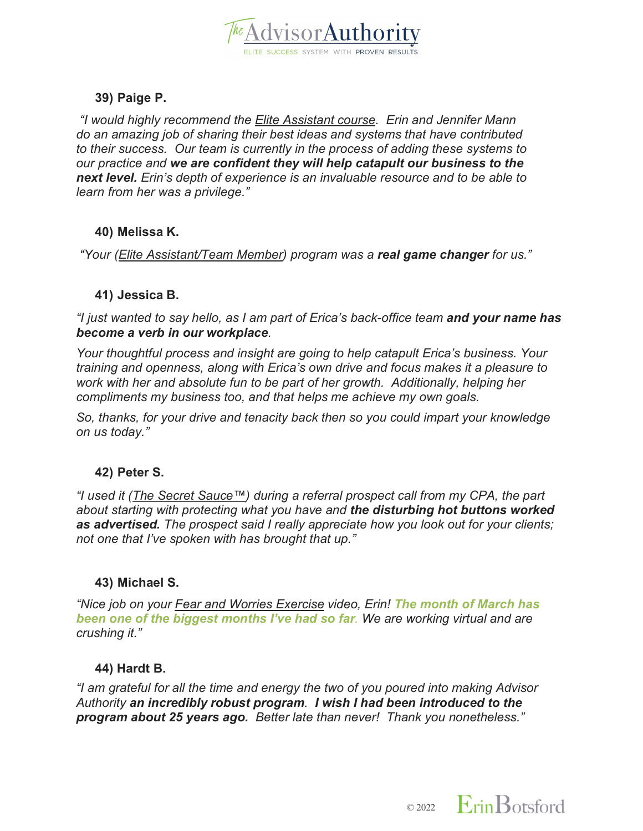

# **39) Paige P.**

*"I would highly recommend the Elite Assistant course. Erin and Jennifer Mann do an amazing job of sharing their best ideas and systems that have contributed to their success. Our team is currently in the process of adding these systems to our practice and we are confident they will help catapult our business to the next level. Erin's depth of experience is an invaluable resource and to be able to learn from her was a privilege."*

## **40) Melissa K.**

*"Your (Elite Assistant/Team Member) program was a real game changer for us."*

## **41) Jessica B.**

*"I just wanted to say hello, as I am part of Erica's back-office team and your name has become a verb in our workplace.* 

*Your thoughtful process and insight are going to help catapult Erica's business. Your training and openness, along with Erica's own drive and focus makes it a pleasure to work with her and absolute fun to be part of her growth. Additionally, helping her compliments my business too, and that helps me achieve my own goals.* 

*So, thanks, for your drive and tenacity back then so you could impart your knowledge on us today."*

## **42) Peter S.**

*"I used it (The Secret Sauce™) during a referral prospect call from my CPA, the part about starting with protecting what you have and the disturbing hot buttons worked as advertised. The prospect said I really appreciate how you look out for your clients; not one that I've spoken with has brought that up."*

## **43) Michael S.**

*"Nice job on your Fear and Worries Exercise video, Erin! The month of March has been one of the biggest months I've had so far. We are working virtual and are crushing it."*

## **44) Hardt B.**

*"I am grateful for all the time and energy the two of you poured into making Advisor Authority an incredibly robust program. I wish I had been introduced to the program about 25 years ago. Better late than never! Thank you nonetheless."*

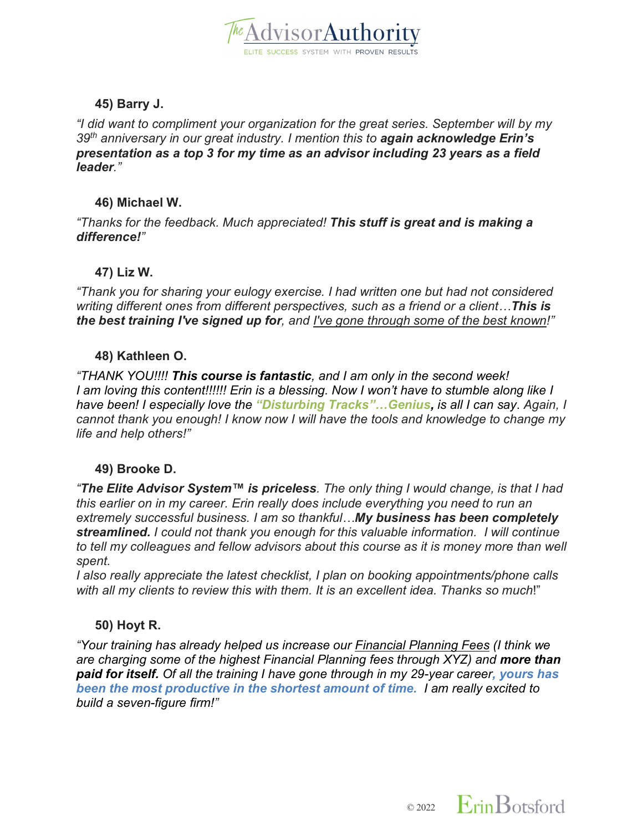

## **45) Barry J.**

*"I did want to compliment your organization for the great series. September will by my 39th anniversary in our great industry. I mention this to again acknowledge Erin's presentation as a top 3 for my time as an advisor including 23 years as a field leader."*

## **46) Michael W.**

*"Thanks for the feedback. Much appreciated! This stuff is great and is making a difference!"*

## **47) Liz W.**

*"Thank you for sharing your eulogy exercise. I had written one but had not considered writing different ones from different perspectives, such as a friend or a client…This is the best training I've signed up for, and I've gone through some of the best known!"*

#### **48) Kathleen O.**

*"THANK YOU!!!! This course is fantastic, and I am only in the second week! I am loving this content!!!!!! Erin is a blessing. Now I won't have to stumble along like I have been! I especially love the "Disturbing Tracks"…Genius, is all I can say*. *Again, I cannot thank you enough! I know now I will have the tools and knowledge to change my life and help others!"*

## **49) Brooke D.**

*"The Elite Advisor System™ is priceless. The only thing I would change, is that I had this earlier on in my career. Erin really does include everything you need to run an extremely successful business. I am so thankful…My business has been completely streamlined. I could not thank you enough for this valuable information. I will continue to tell my colleagues and fellow advisors about this course as it is money more than well spent.*

*I also really appreciate the latest checklist, I plan on booking appointments/phone calls with all my clients to review this with them. It is an excellent idea. Thanks so much*!"

## **50) Hoyt R.**

*"Your training has already helped us increase our Financial Planning Fees (I think we are charging some of the highest Financial Planning fees through XYZ) and more than paid for itself. Of all the training I have gone through in my 29-year career, yours has been the most productive in the shortest amount of time. I am really excited to build a seven-figure firm!"*

 $\circ$  2022 Erin Botsford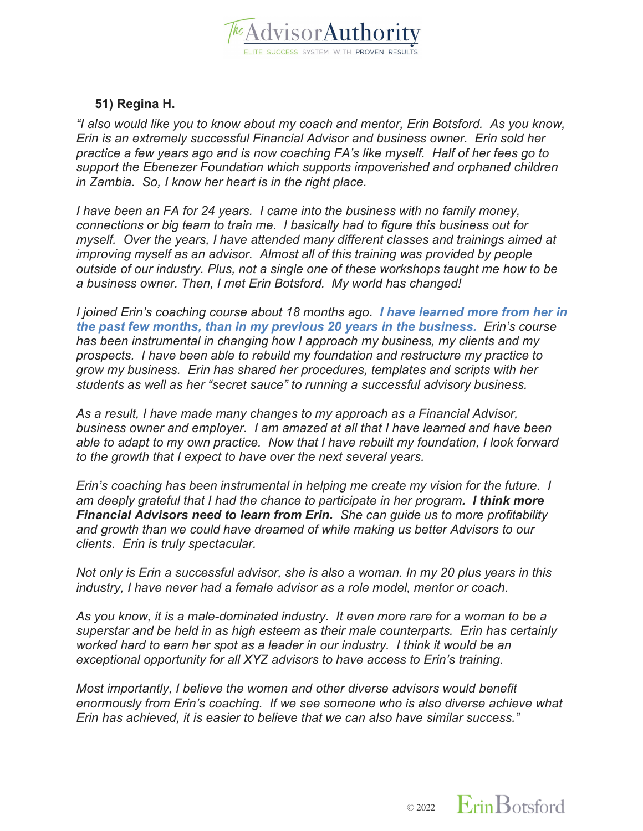

## **51) Regina H.**

*"I also would like you to know about my coach and mentor, Erin Botsford. As you know, Erin is an extremely successful Financial Advisor and business owner. Erin sold her practice a few years ago and is now coaching FA's like myself. Half of her fees go to support the Ebenezer Foundation which supports impoverished and orphaned children in Zambia. So, I know her heart is in the right place.*

*I have been an FA for 24 years. I came into the business with no family money, connections or big team to train me. I basically had to figure this business out for myself. Over the years, I have attended many different classes and trainings aimed at improving myself as an advisor. Almost all of this training was provided by people outside of our industry. Plus, not a single one of these workshops taught me how to be a business owner. Then, I met Erin Botsford. My world has changed!*

*I joined Erin's coaching course about 18 months ago. I have learned more from her in the past few months, than in my previous 20 years in the business. Erin's course has been instrumental in changing how I approach my business, my clients and my prospects. I have been able to rebuild my foundation and restructure my practice to grow my business. Erin has shared her procedures, templates and scripts with her students as well as her "secret sauce" to running a successful advisory business.*

*As a result, I have made many changes to my approach as a Financial Advisor, business owner and employer. I am amazed at all that I have learned and have been able to adapt to my own practice. Now that I have rebuilt my foundation, I look forward to the growth that I expect to have over the next several years.*

*Erin's coaching has been instrumental in helping me create my vision for the future. I am deeply grateful that I had the chance to participate in her program. I think more Financial Advisors need to learn from Erin. She can guide us to more profitability and growth than we could have dreamed of while making us better Advisors to our clients. Erin is truly spectacular.*

*Not only is Erin a successful advisor, she is also a woman. In my 20 plus years in this industry, I have never had a female advisor as a role model, mentor or coach.*

*As you know, it is a male-dominated industry. It even more rare for a woman to be a superstar and be held in as high esteem as their male counterparts. Erin has certainly worked hard to earn her spot as a leader in our industry. I think it would be an exceptional opportunity for all XYZ advisors to have access to Erin's training.*

*Most importantly, I believe the women and other diverse advisors would benefit enormously from Erin's coaching. If we see someone who is also diverse achieve what Erin has achieved, it is easier to believe that we can also have similar success."*

 $\circ$  2022 Erin Botsford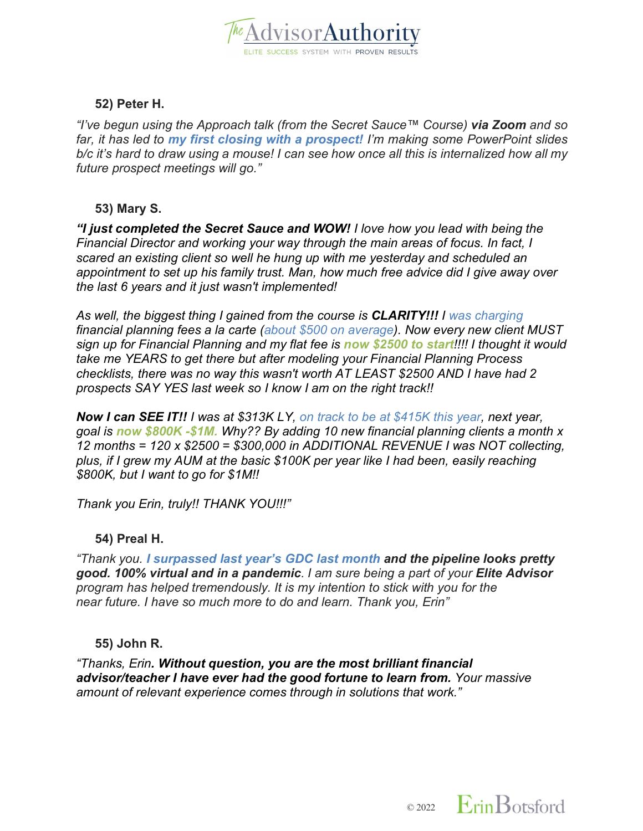

#### **52) Peter H.**

*"I've begun using the Approach talk (from the Secret Sauce™ Course) via Zoom and so far, it has led to my first closing with a prospect! I'm making some PowerPoint slides b/c it's hard to draw using a mouse! I can see how once all this is internalized how all my future prospect meetings will go."*

#### **53) Mary S.**

*"I just completed the Secret Sauce and WOW! I love how you lead with being the Financial Director and working your way through the main areas of focus. In fact, I scared an existing client so well he hung up with me yesterday and scheduled an appointment to set up his family trust. Man, how much free advice did I give away over the last 6 years and it just wasn't implemented!*

*As well, the biggest thing I gained from the course is CLARITY!!! I was charging financial planning fees a la carte (about \$500 on average). Now every new client MUST sign up for Financial Planning and my flat fee is now \$2500 to start!!!! I thought it would take me YEARS to get there but after modeling your Financial Planning Process checklists, there was no way this wasn't worth AT LEAST \$2500 AND I have had 2 prospects SAY YES last week so I know I am on the right track!!*

*Now I can SEE IT!! I was at \$313K LY, on track to be at \$415K this year, next year, goal is now \$800K -\$1M. Why?? By adding 10 new financial planning clients a month x 12 months = 120 x \$2500 = \$300,000 in ADDITIONAL REVENUE I was NOT collecting, plus, if I grew my AUM at the basic \$100K per year like I had been, easily reaching \$800K, but I want to go for \$1M!!* 

*Thank you Erin, truly!! THANK YOU!!!"*

## **54) Preal H.**

*"Thank you. I surpassed last year's GDC last month and the pipeline looks pretty good. 100% virtual and in a pandemic. I am sure being a part of your Elite Advisor program has helped tremendously. It is my intention to stick with you for the near future. I have so much more to do and learn. Thank you, Erin"*

## **55) John R.**

*"Thanks, Erin. Without question, you are the most brilliant financial advisor/teacher I have ever had the good fortune to learn from. Your massive amount of relevant experience comes through in solutions that work."*

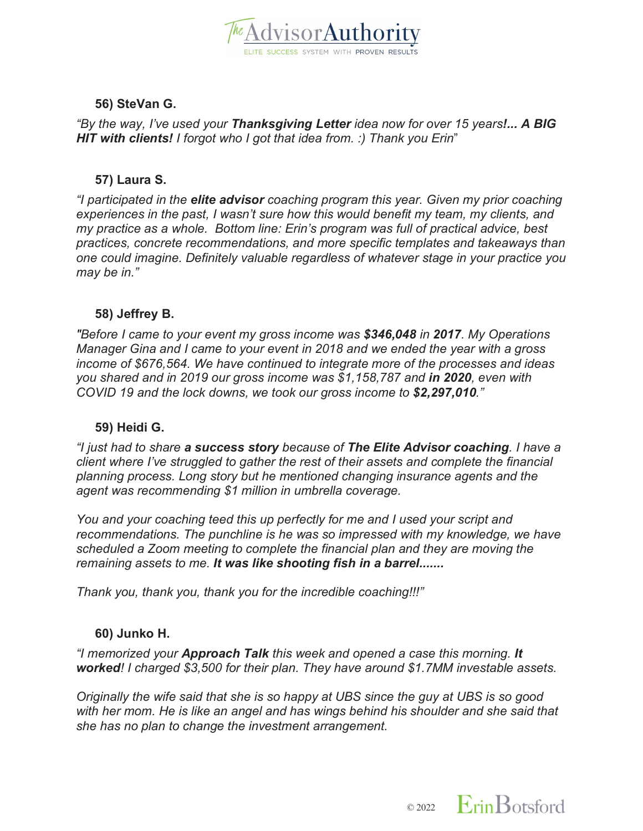

## **56) SteVan G.**

*"By the way, I've used your Thanksgiving Letter idea now for over 15 years!... A BIG HIT with clients! I forgot who I got that idea from. :) Thank you Erin*"

#### **57) Laura S.**

*"I participated in the elite advisor coaching program this year. Given my prior coaching experiences in the past, I wasn't sure how this would benefit my team, my clients, and my practice as a whole. Bottom line: Erin's program was full of practical advice, best practices, concrete recommendations, and more specific templates and takeaways than one could imagine. Definitely valuable regardless of whatever stage in your practice you may be in."*

#### **58) Jeffrey B.**

*"Before I came to your event my gross income was \$346,048 in 2017. My Operations Manager Gina and I came to your event in 2018 and we ended the year with a gross income of \$676,564. We have continued to integrate more of the processes and ideas you shared and in 2019 our gross income was \$1,158,787 and in 2020, even with COVID 19 and the lock downs, we took our gross income to \$2,297,010."*

#### **59) Heidi G.**

*"I just had to share a success story because of The Elite Advisor coaching. I have a client where I've struggled to gather the rest of their assets and complete the financial planning process. Long story but he mentioned changing insurance agents and the agent was recommending \$1 million in umbrella coverage.* 

*You and your coaching teed this up perfectly for me and I used your script and recommendations. The punchline is he was so impressed with my knowledge, we have scheduled a Zoom meeting to complete the financial plan and they are moving the remaining assets to me. It was like shooting fish in a barrel.......*

*Thank you, thank you, thank you for the incredible coaching!!!"*

#### **60) Junko H.**

*"I memorized your Approach Talk this week and opened a case this morning. It worked! I charged \$3,500 for their plan. They have around \$1.7MM investable assets.* 

*Originally the wife said that she is so happy at UBS since the guy at UBS is so good with her mom. He is like an angel and has wings behind his shoulder and she said that she has no plan to change the investment arrangement.* 

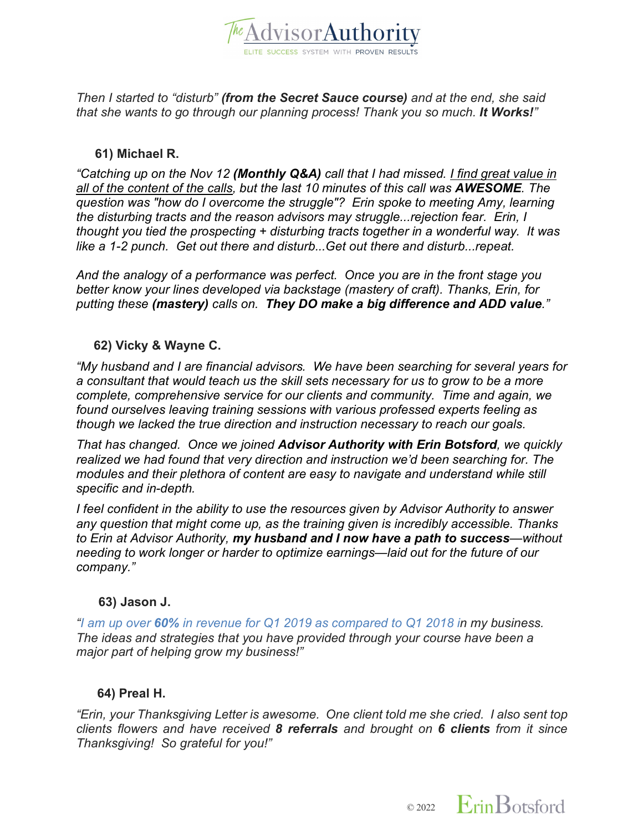

*Then I started to "disturb" (from the Secret Sauce course) and at the end, she said that she wants to go through our planning process! Thank you so much. It Works!"*

#### **61) Michael R.**

*"Catching up on the Nov 12 (Monthly Q&A) call that I had missed. I find great value in all of the content of the calls, but the last 10 minutes of this call was AWESOME. The question was "how do I overcome the struggle"? Erin spoke to meeting Amy, learning the disturbing tracts and the reason advisors may struggle...rejection fear. Erin, I thought you tied the prospecting + disturbing tracts together in a wonderful way. It was like a 1-2 punch. Get out there and disturb...Get out there and disturb...repeat.*

*And the analogy of a performance was perfect. Once you are in the front stage you better know your lines developed via backstage (mastery of craft). Thanks, Erin, for putting these (mastery) calls on. They DO make a big difference and ADD value."*

## **62) Vicky & Wayne C.**

*"My husband and I are financial advisors. We have been searching for several years for a consultant that would teach us the skill sets necessary for us to grow to be a more complete, comprehensive service for our clients and community. Time and again, we found ourselves leaving training sessions with various professed experts feeling as though we lacked the true direction and instruction necessary to reach our goals.* 

*That has changed. Once we joined Advisor Authority with Erin Botsford, we quickly realized we had found that very direction and instruction we'd been searching for. The modules and their plethora of content are easy to navigate and understand while still specific and in-depth.* 

*I feel confident in the ability to use the resources given by Advisor Authority to answer any question that might come up, as the training given is incredibly accessible. Thanks to Erin at Advisor Authority, my husband and I now have a path to success—without needing to work longer or harder to optimize earnings—laid out for the future of our company."*

#### **63) Jason J.**

*"I am up over 60% in revenue for Q1 2019 as compared to Q1 2018 in my business. The ideas and strategies that you have provided through your course have been a major part of helping grow my business!"*

#### **64) Preal H.**

*"Erin, your Thanksgiving Letter is awesome. One client told me she cried. I also sent top clients flowers and have received 8 referrals and brought on 6 clients from it since Thanksgiving! So grateful for you!"*

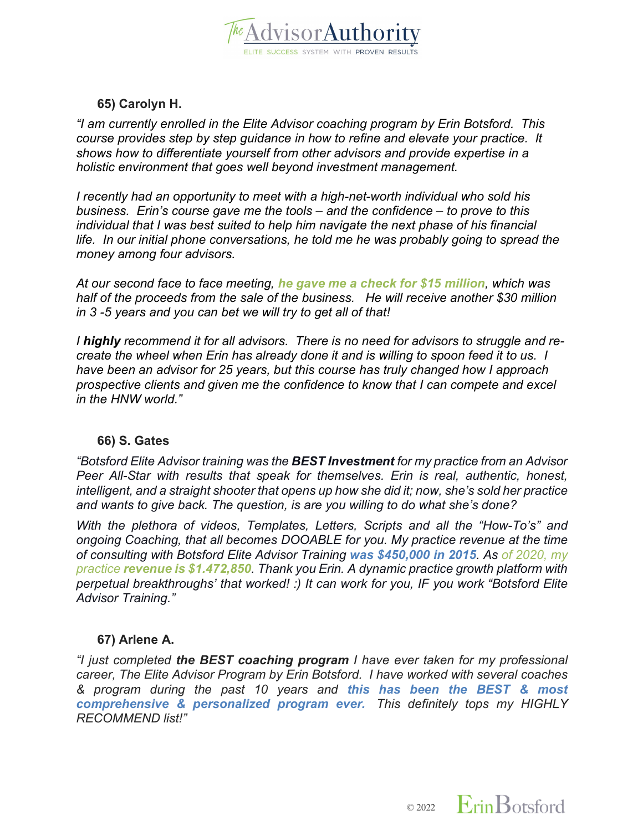

## **65) Carolyn H.**

*"I am currently enrolled in the Elite Advisor coaching program by Erin Botsford. This course provides step by step guidance in how to refine and elevate your practice. It shows how to differentiate yourself from other advisors and provide expertise in a holistic environment that goes well beyond investment management.*

*I recently had an opportunity to meet with a high-net-worth individual who sold his business. Erin's course gave me the tools – and the confidence – to prove to this individual that I was best suited to help him navigate the next phase of his financial life. In our initial phone conversations, he told me he was probably going to spread the money among four advisors.* 

*At our second face to face meeting, he gave me a check for \$15 million, which was half of the proceeds from the sale of the business. He will receive another \$30 million in 3 -5 years and you can bet we will try to get all of that!*

*I highly recommend it for all advisors. There is no need for advisors to struggle and recreate the wheel when Erin has already done it and is willing to spoon feed it to us. I have been an advisor for 25 years, but this course has truly changed how I approach prospective clients and given me the confidence to know that I can compete and excel in the HNW world."*

#### **66) S. Gates**

*"Botsford Elite Advisor training was the BEST Investment for my practice from an Advisor Peer All-Star with results that speak for themselves. Erin is real, authentic, honest, intelligent, and a straight shooter that opens up how she did it; now, she's sold her practice and wants to give back. The question, is are you willing to do what she's done?* 

*With the plethora of videos, Templates, Letters, Scripts and all the "How-To's" and ongoing Coaching, that all becomes DOOABLE for you. My practice revenue at the time of consulting with Botsford Elite Advisor Training was \$450,000 in 2015. As of 2020, my practice revenue is \$1.472,850. Thank you Erin. A dynamic practice growth platform with perpetual breakthroughs' that worked! :) It can work for you, IF you work "Botsford Elite Advisor Training."*

## **67) Arlene A.**

*"I just completed the BEST coaching program I have ever taken for my professional career, The Elite Advisor Program by Erin Botsford. I have worked with several coaches & program during the past 10 years and this has been the BEST & most comprehensive & personalized program ever. This definitely tops my HIGHLY RECOMMEND list!"*

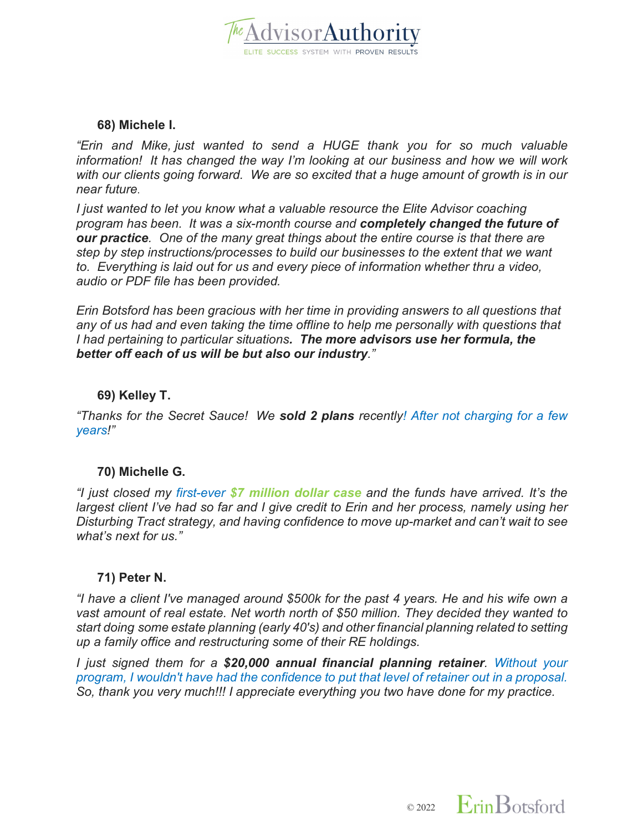

#### **68) Michele I.**

*"Erin and Mike, just wanted to send a HUGE thank you for so much valuable information! It has changed the way I'm looking at our business and how we will work with our clients going forward. We are so excited that a huge amount of growth is in our near future*.

*I just wanted to let you know what a valuable resource the Elite Advisor coaching program has been. It was a six-month course and completely changed the future of our practice. One of the many great things about the entire course is that there are step by step instructions/processes to build our businesses to the extent that we want to. Everything is laid out for us and every piece of information whether thru a video, audio or PDF file has been provided.*

*Erin Botsford has been gracious with her time in providing answers to all questions that any of us had and even taking the time offline to help me personally with questions that I had pertaining to particular situations. The more advisors use her formula, the better off each of us will be but also our industry."*

#### **69) Kelley T.**

*"Thanks for the Secret Sauce! We sold 2 plans recently! After not charging for a few years!"*

## **70) Michelle G.**

*"I just closed my first-ever \$7 million dollar case and the funds have arrived. It's the largest client I've had so far and I give credit to Erin and her process, namely using her Disturbing Tract strategy, and having confidence to move up-market and can't wait to see what's next for us."*

#### **71) Peter N.**

*"I have a client I've managed around \$500k for the past 4 years. He and his wife own a vast amount of real estate. Net worth north of \$50 million. They decided they wanted to start doing some estate planning (early 40's) and other financial planning related to setting up a family office and restructuring some of their RE holdings.* 

*I just signed them for a \$20,000 annual financial planning retainer. Without your program, I wouldn't have had the confidence to put that level of retainer out in a proposal. So, thank you very much!!! I appreciate everything you two have done for my practice.*

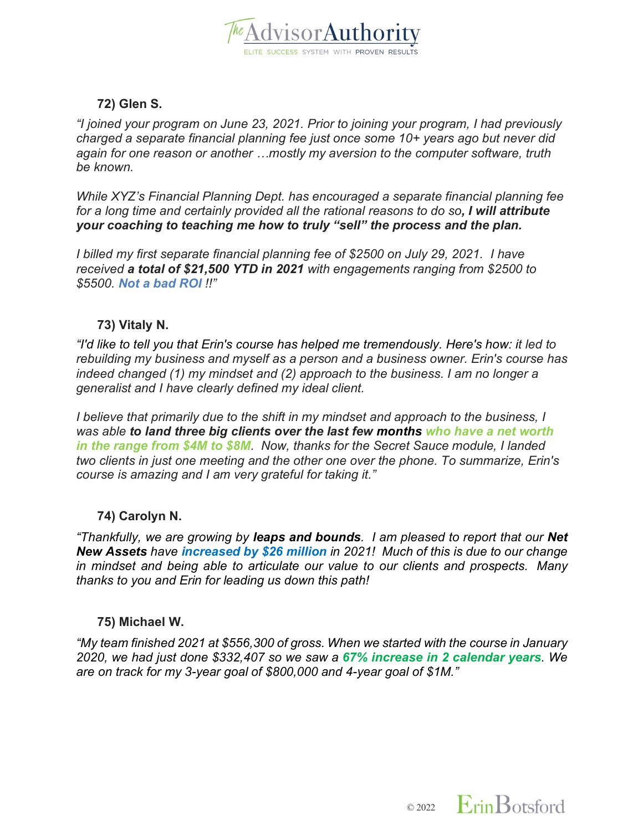

## **72) Glen S.**

*"I joined your program on June 23, 2021. Prior to joining your program, I had previously charged a separate financial planning fee just once some 10+ years ago but never did again for one reason or another …mostly my aversion to the computer software, truth be known.*

*While XYZ's Financial Planning Dept. has encouraged a separate financial planning fee for a long time and certainly provided all the rational reasons to do so, I will attribute your coaching to teaching me how to truly "sell" the process and the plan.*

*I billed my first separate financial planning fee of \$2500 on July 29, 2021. I have received a total of \$21,500 YTD in 2021 with engagements ranging from \$2500 to \$5500. Not a bad ROI !!"*

## **73) Vitaly N.**

*"I'd like to tell you that Erin's course has helped me tremendously. Here's how: it led to rebuilding my business and myself as a person and a business owner. Erin's course has indeed changed (1) my mindset and (2) approach to the business. I am no longer a generalist and I have clearly defined my ideal client.*

*I believe that primarily due to the shift in my mindset and approach to the business, I was able to land three big clients over the last few months who have a net worth in the range from \$4M to \$8M. Now, thanks for the Secret Sauce module, I landed two clients in just one meeting and the other one over the phone. To summarize, Erin's course is amazing and I am very grateful for taking it."*

## **74) Carolyn N.**

*"Thankfully, we are growing by leaps and bounds. I am pleased to report that our Net New Assets have increased by \$26 million in 2021! Much of this is due to our change in mindset and being able to articulate our value to our clients and prospects. Many thanks to you and Erin for leading us down this path!*

## **75) Michael W.**

*"My team finished 2021 at \$556,300 of gross. When we started with the course in January 2020, we had just done \$332,407 so we saw a 67% increase in 2 calendar years. We are on track for my 3-year goal of \$800,000 and 4-year goal of \$1M."*

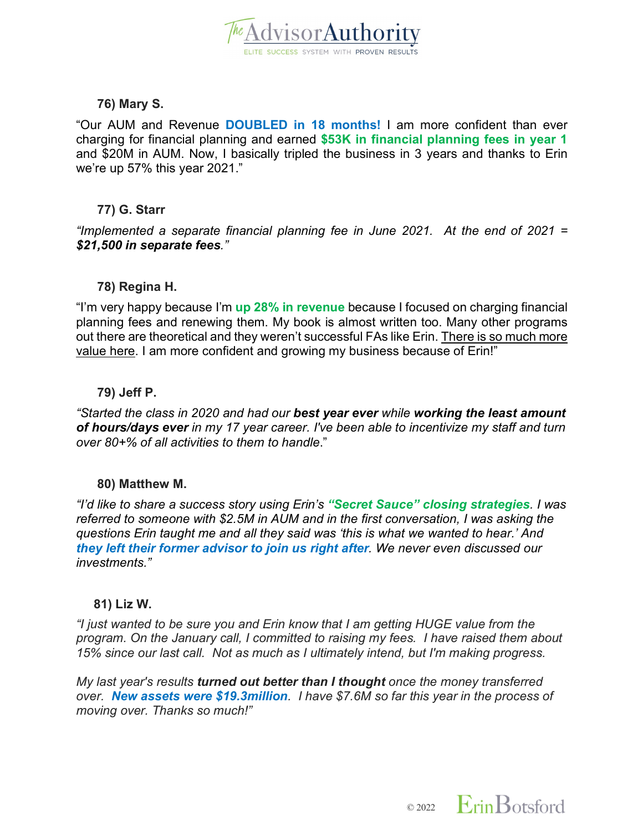

#### **76) Mary S.**

"Our AUM and Revenue **DOUBLED in 18 months!** I am more confident than ever charging for financial planning and earned **\$53K in financial planning fees in year 1** and \$20M in AUM. Now, I basically tripled the business in 3 years and thanks to Erin we're up 57% this year 2021."

#### **77) G. Starr**

*"Implemented a separate financial planning fee in June 2021. At the end of 2021 = \$21,500 in separate fees."*

#### **78) Regina H.**

"I'm very happy because I'm **up 28% in revenue** because I focused on charging financial planning fees and renewing them. My book is almost written too. Many other programs out there are theoretical and they weren't successful FAs like Erin. There is so much more value here. I am more confident and growing my business because of Erin!"

#### **79) Jeff P.**

*"Started the class in 2020 and had our best year ever while working the least amount of hours/days ever in my 17 year career. I've been able to incentivize my staff and turn over 80+% of all activities to them to handle*."

#### **80) Matthew M.**

*"I'd like to share a success story using Erin's "Secret Sauce" closing strategies. I was referred to someone with \$2.5M in AUM and in the first conversation, I was asking the questions Erin taught me and all they said was 'this is what we wanted to hear.' And they left their former advisor to join us right after. We never even discussed our investments."*

#### **81) Liz W.**

*"I just wanted to be sure you and Erin know that I am getting HUGE value from the program. On the January call, I committed to raising my fees. I have raised them about 15% since our last call. Not as much as I ultimately intend, but I'm making progress.* 

*My last year's results turned out better than I thought once the money transferred over. New assets were \$19.3million. I have \$7.6M so far this year in the process of moving over. Thanks so much!"*